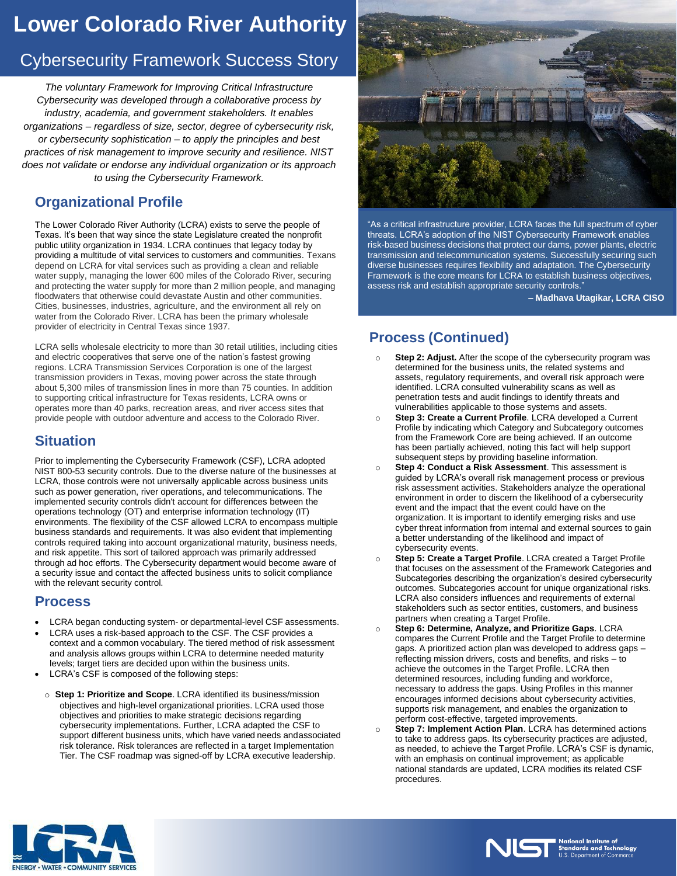# **Lower Colorado River Authority**

# Cybersecurity Framework Success Story

*The voluntary Framework for Improving Critical Infrastructure Cybersecurity was developed through a collaborative process by industry, academia, and government stakeholders. It enables organizations – regardless of size, sector, degree of cybersecurity risk, or cybersecurity sophistication – to apply the principles and best practices of risk management to improve security and resilience. NIST does not validate or endorse any individual organization or its approach to using the Cybersecurity Framework.*

### **Organizational Profile**

The Lower Colorado River Authority (LCRA) exists to serve the people of Texas. It's been that way since the state Legislature created the nonprofit public utility organization in 1934. LCRA continues that legacy today by providing a multitude of vital services to customers and communities. Texans depend on LCRA for vital services such as providing a clean and reliable water supply, managing the lower 600 miles of the Colorado River, securing and protecting the water supply for more than 2 million people, and managing floodwaters that otherwise could devastate Austin and other communities. Cities, businesses, industries, agriculture, and the environment all rely on water from the Colorado River. LCRA has been the primary wholesale provider of electricity in Central Texas since 1937.

LCRA sells wholesale electricity to more than 30 retail utilities, including cities and electric cooperatives that serve one of the nation's fastest growing regions. LCRA Transmission Services Corporation is one of the largest transmission providers in Texas, moving power across the state through about 5,300 miles of transmission lines in more than 75 counties. In addition to supporting critical infrastructure for Texas residents, LCRA owns or operates more than 40 parks, recreation areas, and river access sites that provide people with outdoor adventure and access to the Colorado River.

#### **Situation**

Prior to implementing the Cybersecurity Framework (CSF), LCRA adopted NIST 800-53 security controls. Due to the diverse nature of the businesses at LCRA, those controls were not universally applicable across business units such as power generation, river operations, and telecommunications. The implemented security controls didn't account for differences between the operations technology (OT) and enterprise information technology (IT) environments. The flexibility of the CSF allowed LCRA to encompass multiple business standards and requirements. It was also evident that implementing controls required taking into account organizational maturity, business needs, and risk appetite. This sort of tailored approach was primarily addressed through ad hoc efforts. The Cybersecurity department would become aware of a security issue and contact the affected business units to solicit compliance with the relevant security control.

#### **Process**

- LCRA began conducting system- or departmental-level CSF assessments.
- LCRA uses a risk-based approach to the CSF. The CSF provides a context and a common vocabulary. The tiered method of risk assessment and analysis allows groups within LCRA to determine needed maturity levels; target tiers are decided upon within the business units.
- LCRA's CSF is composed of the following steps:
- o **Step 1: Prioritize and Scope**. LCRA identified its business/mission objectives and high-level organizational priorities. LCRA used those objectives and priorities to make strategic decisions regarding cybersecurity implementations. Further, LCRA adapted the CSF to support different business units, which have varied needs and associated risk tolerance. Risk tolerances are reflected in a target Implementation Tier. The CSF roadmap was signed-off by LCRA executive leadership.



"As a critical infrastructure provider, LCRA faces the full spectrum of cyber threats. LCRA's adoption of the NIST Cybersecurity Framework enables risk-based business decisions that protect our dams, power plants, electric transmission and telecommunication systems. Successfully securing such diverse businesses requires flexibility and adaptation. The Cybersecurity Framework is the core means for LCRA to establish business objectives, assess risk and establish appropriate security controls."

**– Madhava Utagikar, LCRA CISO**

## **Process (Continued)**

- o **Step 2: Adjust.** After the scope of the cybersecurity program was determined for the business units, the related systems and assets, regulatory requirements, and overall risk approach were identified. LCRA consulted vulnerability scans as well as penetration tests and audit findings to identify threats and vulnerabilities applicable to those systems and assets.
- o **Step 3: Create a Current Profile**. LCRA developed a Current Profile by indicating which Category and Subcategory outcomes from the Framework Core are being achieved. If an outcome has been partially achieved, noting this fact will help support subsequent steps by providing baseline information.
- o **Step 4: Conduct a Risk Assessment**. This assessment is guided by LCRA's overall risk management process or previous risk assessment activities. Stakeholders analyze the operational environment in order to discern the likelihood of a cybersecurity event and the impact that the event could have on the organization. It is important to identify emerging risks and use cyber threat information from internal and external sources to gain a better understanding of the likelihood and impact of cybersecurity events.
- o **Step 5: Create a Target Profile**. LCRA created a Target Profile that focuses on the assessment of the Framework Categories and Subcategories describing the organization's desired cybersecurity outcomes. Subcategories account for unique organizational risks. LCRA also considers influences and requirements of external stakeholders such as sector entities, customers, and business partners when creating a Target Profile.
- o **Step 6: Determine, Analyze, and Prioritize Gaps**. LCRA compares the Current Profile and the Target Profile to determine gaps. A prioritized action plan was developed to address gaps – reflecting mission drivers, costs and benefits, and risks – to achieve the outcomes in the Target Profile. LCRA then determined resources, including funding and workforce, necessary to address the gaps. Using Profiles in this manner encourages informed decisions about cybersecurity activities, supports risk management, and enables the organization to perform cost-effective, targeted improvements.
- o **Step 7: Implement Action Plan**. LCRA has determined actions to take to address gaps. Its cybersecurity practices are adjusted, as needed, to achieve the Target Profile. LCRA's CSF is dynamic, with an emphasis on continual improvement; as applicable national standards are updated, LCRA modifies its related CSF procedures.